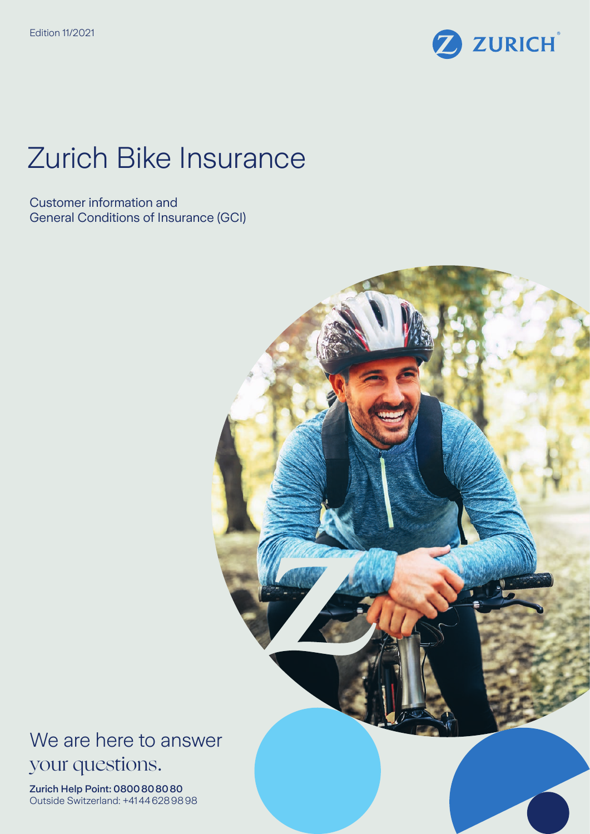

# Zurich Bike Insurance

Customer information and General Conditions of Insurance (GCI)



We are here to answer your questions.

Zurich Help Point: 0800808080 Outside Switzerland: +41446289898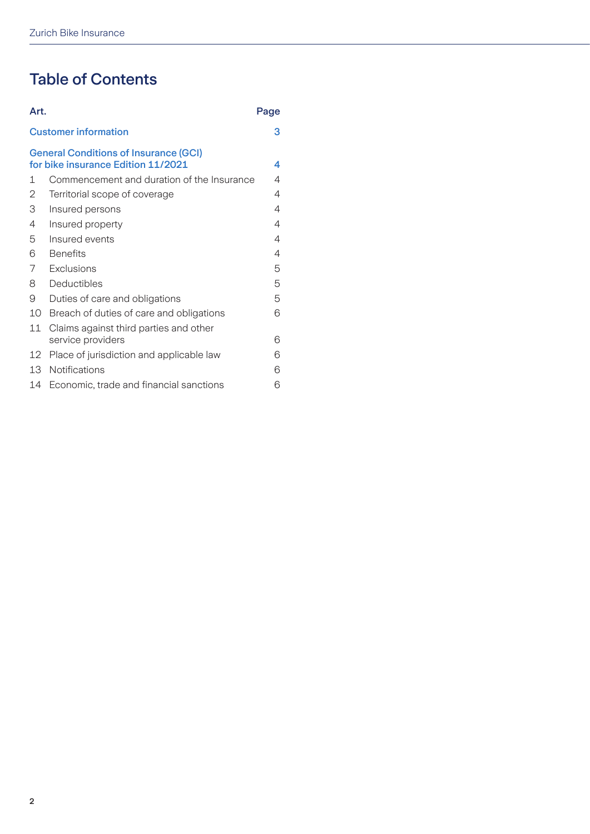# Table of Contents

| Art.                                                                               |                                            | Page |
|------------------------------------------------------------------------------------|--------------------------------------------|------|
| <b>Customer information</b>                                                        |                                            | з    |
| <b>General Conditions of Insurance (GCI)</b><br>for bike insurance Edition 11/2021 |                                            | 4    |
| 1                                                                                  | Commencement and duration of the Insurance | 4    |
| 2                                                                                  | Territorial scope of coverage              | 4    |
| 3                                                                                  | Insured persons                            | 4    |
| 4                                                                                  | Insured property                           | 4    |
| 5                                                                                  | Insured events                             | 4    |
| 6                                                                                  | <b>Benefits</b>                            | 4    |
| 7                                                                                  | Exclusions                                 | 5    |
| 8                                                                                  | Deductibles                                | 5    |
| 9                                                                                  | Duties of care and obligations             | 5    |
| 10                                                                                 | Breach of duties of care and obligations   | 6    |
| 11                                                                                 | Claims against third parties and other     |      |
|                                                                                    | service providers                          | 6    |
| 12                                                                                 | Place of jurisdiction and applicable law   | 6    |
| 13                                                                                 | <b>Notifications</b>                       | 6    |
| 14                                                                                 | Economic, trade and financial sanctions    | 6    |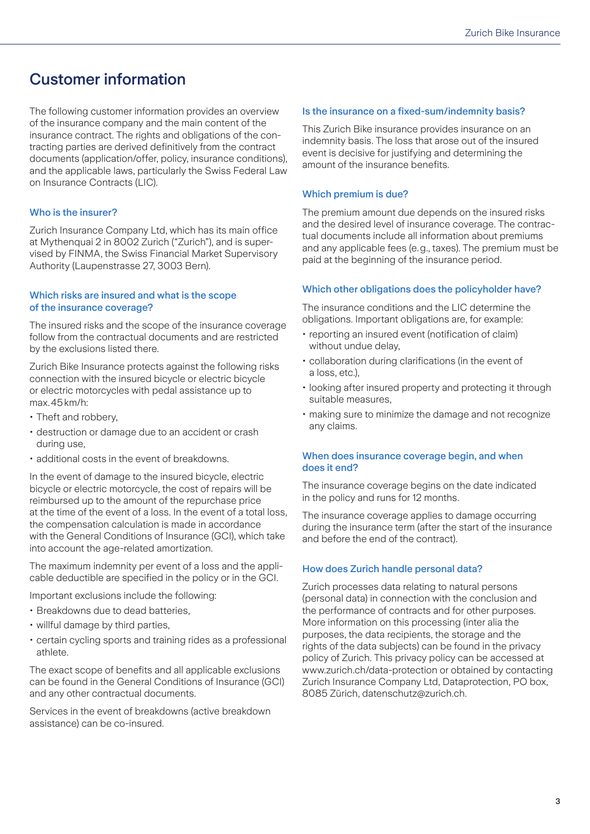# <span id="page-2-0"></span>Customer information

The following customer information provides an overview of the insurance company and the main content of the insurance contract. The rights and obligations of the contracting parties are derived definitively from the contract documents (application/offer, policy, insurance conditions), and the applicable laws, particularly the Swiss Federal Law on Insurance Contracts (LIC).

#### Who is the insurer?

Zurich Insurance Company Ltd, which has its main office at Mythenquai 2 in 8002 Zurich ("Zurich"), and is supervised by FINMA, the Swiss Financial Market Supervisory Authority (Laupenstrasse 27, 3003 Bern).

#### Which risks are insured and what is the scope of the insurance coverage?

The insured risks and the scope of the insurance coverage follow from the contractual documents and are restricted by the exclusions listed there.

Zurich Bike Insurance protects against the following risks connection with the insured bicycle or electric bicycle or electric motorcycles with pedal assistance up to max.45km/h:

- Theft and robbery,
- destruction or damage due to an accident or crash during use,
- additional costs in the event of breakdowns.

In the event of damage to the insured bicycle, electric bicycle or electric motorcycle, the cost of repairs will be reimbursed up to the amount of the repurchase price at the time of the event of a loss. In the event of a total loss, the compensation calculation is made in accordance with the General Conditions of Insurance (GCI), which take into account the age-related amortization.

The maximum indemnity per event of a loss and the applicable deductible are specified in the policy or in the GCI.

Important exclusions include the following:

- Breakdowns due to dead batteries,
- willful damage by third parties,
- certain cycling sports and training rides as a professional athlete.

The exact scope of benefits and all applicable exclusions can be found in the General Conditions of Insurance (GCI) and any other contractual documents.

Services in the event of breakdowns (active breakdown assistance) can be co-insured.

#### Is the insurance on a fixed-sum/indemnity basis?

This Zurich Bike insurance provides insurance on an indemnity basis. The loss that arose out of the insured event is decisive for justifying and determining the amount of the insurance benefits.

#### Which premium is due?

The premium amount due depends on the insured risks and the desired level of insurance coverage. The contractual documents include all information about premiums and any applicable fees (e.g., taxes). The premium must be paid at the beginning of the insurance period.

#### Which other obligations does the policyholder have?

The insurance conditions and the LIC determine the obligations. Important obligations are, for example:

- reporting an insured event (notification of claim) without undue delay,
- collaboration during clarifications (in the event of a loss, etc.),
- looking after insured property and protecting it through suitable measures,
- making sure to minimize the damage and not recognize any claims.

#### When does insurance coverage begin, and when does it end?

The insurance coverage begins on the date indicated in the policy and runs for 12 months.

The insurance coverage applies to damage occurring during the insurance term (after the start of the insurance and before the end of the contract).

#### How does Zurich handle personal data?

Zurich processes data relating to natural persons (personal data) in connection with the conclusion and the performance of contracts and for other purposes. More information on this processing (inter alia the purposes, the data recipients, the storage and the rights of the data subjects) can be found in the privacy policy of Zurich. This privacy policy can be accessed at www.zurich.ch/data-protection or obtained by contacting Zurich Insurance Company Ltd, Dataprotection, PO box, 8085 Zürich, datenschutz@zurich.ch.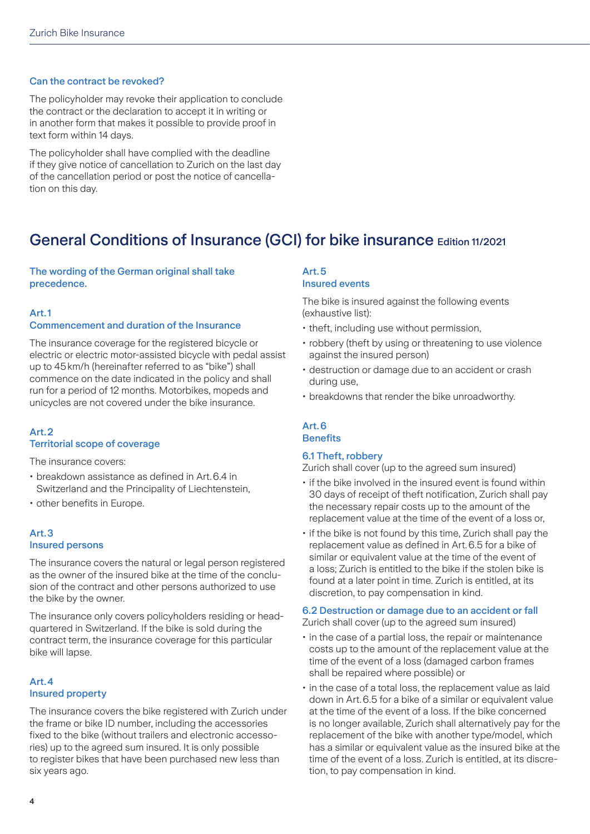#### <span id="page-3-0"></span>Can the contract be revoked?

The policyholder may revoke their application to conclude the contract or the declaration to accept it in writing or in another form that makes it possible to provide proof in text form within 14 days.

The policyholder shall have complied with the deadline if they give notice of cancellation to Zurich on the last day of the cancellation period or post the notice of cancellation on this day.

# General Conditions of Insurance (GCI) for bike insurance Edition 11/2021

#### The wording of the German original shall take precedence.

#### Art.1

#### Commencement and duration of the Insurance

The insurance coverage for the registered bicycle or electric or electric motor-assisted bicycle with pedal assist up to 45km/h (hereinafter referred to as "bike") shall commence on the date indicated in the policy and shall run for a period of 12 months. Motorbikes, mopeds and unicycles are not covered under the bike insurance.

#### Art.2 Territorial scope of coverage

The insurance covers:

- breakdown assistance as defined in Art.6.4 in Switzerland and the Principality of Liechtenstein,
- other benefits in Europe.

#### Art.3 Insured persons

The insurance covers the natural or legal person registered as the owner of the insured bike at the time of the conclusion of the contract and other persons authorized to use the bike by the owner.

The insurance only covers policyholders residing or headquartered in Switzerland. If the bike is sold during the contract term, the insurance coverage for this particular bike will lapse.

#### Art.4 Insured property

The insurance covers the bike registered with Zurich under the frame or bike ID number, including the accessories fixed to the bike (without trailers and electronic accessories) up to the agreed sum insured. It is only possible to register bikes that have been purchased new less than six years ago.

#### Art.5

#### Insured events

The bike is insured against the following events (exhaustive list):

- theft, including use without permission,
- robbery (theft by using or threatening to use violence against the insured person)
- destruction or damage due to an accident or crash during use,
- breakdowns that render the bike unroadworthy.

#### Art.6 **Benefits**

#### 6.1 Theft, robbery

Zurich shall cover (up to the agreed sum insured)

- if the bike involved in the insured event is found within 30 days of receipt of theft notification, Zurich shall pay the necessary repair costs up to the amount of the replacement value at the time of the event of a loss or,
- if the bike is not found by this time, Zurich shall pay the replacement value as defined in Art.6.5 for a bike of similar or equivalent value at the time of the event of a loss; Zurich is entitled to the bike if the stolen bike is found at a later point in time. Zurich is entitled, at its discretion, to pay compensation in kind.

#### 6.2 Destruction or damage due to an accident or fall

Zurich shall cover (up to the agreed sum insured)

- in the case of a partial loss, the repair or maintenance costs up to the amount of the replacement value at the time of the event of a loss (damaged carbon frames shall be repaired where possible) or
- in the case of a total loss, the replacement value as laid down in Art. 6.5 for a bike of a similar or equivalent value at the time of the event of a loss. If the bike concerned is no longer available, Zurich shall alternatively pay for the replacement of the bike with another type/model, which has a similar or equivalent value as the insured bike at the time of the event of a loss. Zurich is entitled, at its discretion, to pay compensation in kind.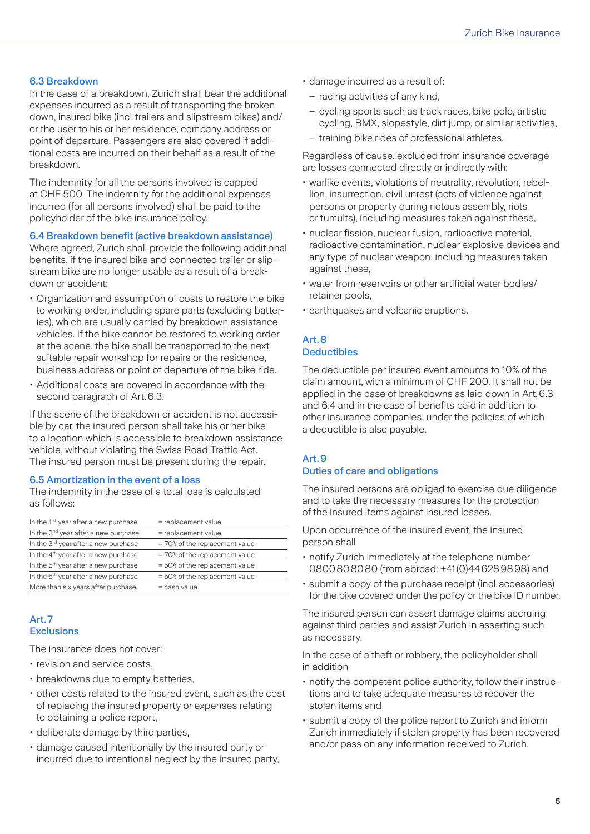#### <span id="page-4-0"></span>6.3 Breakdown

In the case of a breakdown, Zurich shall bear the additional expenses incurred as a result of transporting the broken down, insured bike (incl.trailers and slipstream bikes) and/ or the user to his or her residence, company address or point of departure. Passengers are also covered if additional costs are incurred on their behalf as a result of the breakdown.

The indemnity for all the persons involved is capped at CHF 500. The indemnity for the additional expenses incurred (for all persons involved) shall be paid to the policyholder of the bike insurance policy.

6.4 Breakdown benefit (active breakdown assistance)

Where agreed, Zurich shall provide the following additional benefits, if the insured bike and connected trailer or slipstream bike are no longer usable as a result of a breakdown or accident:

- Organization and assumption of costs to restore the bike to working order, including spare parts (excluding batteries), which are usually carried by breakdown assistance vehicles. If the bike cannot be restored to working order at the scene, the bike shall be transported to the next suitable repair workshop for repairs or the residence, business address or point of departure of the bike ride.
- Additional costs are covered in accordance with the second paragraph of Art.6.3.

If the scene of the breakdown or accident is not accessible by car, the insured person shall take his or her bike to a location which is accessible to breakdown assistance vehicle, without violating the Swiss Road Traffic Act. The insured person must be present during the repair.

#### 6.5 Amortization in the event of a loss

The indemnity in the case of a total loss is calculated as follows:

| $=$ replacement value          |
|--------------------------------|
| $=$ replacement value          |
| = 70% of the replacement value |
| = 70% of the replacement value |
| = 50% of the replacement value |
| = 50% of the replacement value |
| $=$ cash value                 |
|                                |

#### Art.7 **Exclusions**

The insurance does not cover:

- revision and service costs,
- breakdowns due to empty batteries,
- other costs related to the insured event, such as the cost of replacing the insured property or expenses relating to obtaining a police report,
- deliberate damage by third parties,
- damage caused intentionally by the insured party or incurred due to intentional neglect by the insured party,
- damage incurred as a result of:
	- racing activities of any kind,
	- cycling sports such as track races, bike polo, artistic cycling, BMX, slopestyle, dirt jump, or similar activities,
	- training bike rides of professional athletes.

Regardless of cause, excluded from insurance coverage are losses connected directly or indirectly with:

- warlike events, violations of neutrality, revolution, rebellion, insurrection, civil unrest (acts of violence against persons or property during riotous assembly, riots or tumults), including measures taken against these,
- nuclear fission, nuclear fusion, radioactive material, radioactive contamination, nuclear explosive devices and any type of nuclear weapon, including measures taken against these,
- water from reservoirs or other artificial water bodies/ retainer pools,
- earthquakes and volcanic eruptions.

## Art.8

#### **Deductibles**

The deductible per insured event amounts to 10% of the claim amount, with a minimum of CHF 200. It shall not be applied in the case of breakdowns as laid down in Art.6.3 and 6.4 and in the case of benefits paid in addition to other insurance companies, under the policies of which a deductible is also payable.

#### Art.9 Duties of care and obligations

The insured persons are obliged to exercise due diligence and to take the necessary measures for the protection of the insured items against insured losses.

Upon occurrence of the insured event, the insured person shall

- notify Zurich immediately at the telephone number 0800808080 (from abroad: +41(0)446289898) and
- submit a copy of the purchase receipt (incl.accessories) for the bike covered under the policy or the bike ID number.

The insured person can assert damage claims accruing against third parties and assist Zurich in asserting such as necessary.

In the case of a theft or robbery, the policyholder shall in addition

- notify the competent police authority, follow their instructions and to take adequate measures to recover the stolen items and
- submit a copy of the police report to Zurich and inform Zurich immediately if stolen property has been recovered and/or pass on any information received to Zurich.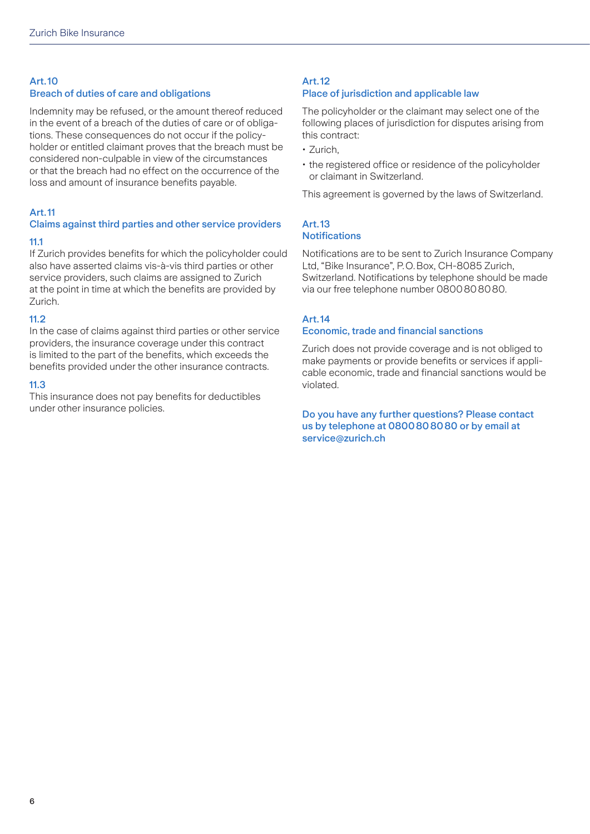### <span id="page-5-0"></span>Art.10

#### Breach of duties of care and obligations

Indemnity may be refused, or the amount thereof reduced in the event of a breach of the duties of care or of obligations. These consequences do not occur if the policyholder or entitled claimant proves that the breach must be considered non-culpable in view of the circumstances or that the breach had no effect on the occurrence of the loss and amount of insurance benefits payable.

#### Art.11

# Claims against third parties and other service providers

#### 11.1

If Zurich provides benefits for which the policyholder could also have asserted claims vis-à-vis third parties or other service providers, such claims are assigned to Zurich at the point in time at which the benefits are provided by Zurich.

#### 11.2

In the case of claims against third parties or other service providers, the insurance coverage under this contract is limited to the part of the benefits, which exceeds the benefits provided under the other insurance contracts.

#### 11.3

This insurance does not pay benefits for deductibles under other insurance policies.

#### Art.12 Place of jurisdiction and applicable law

The policyholder or the claimant may select one of the following places of jurisdiction for disputes arising from this contract:

- Zurich,
- the registered office or residence of the policyholder or claimant in Switzerland.

This agreement is governed by the laws of Switzerland.

#### Art.13 **Notifications**

Notifications are to be sent to Zurich Insurance Company Ltd, "Bike Insurance", P.O.Box, CH-8085 Zurich, Switzerland. Notifications by telephone should be made via our free telephone number 0800808080.

#### Art.14

#### Economic, trade and financial sanctions

Zurich does not provide coverage and is not obliged to make payments or provide benefits or services if applicable economic, trade and financial sanctions would be violated.

#### Do you have any further questions? Please contact us by telephone at 0800808080 or by email at service@zurich.ch